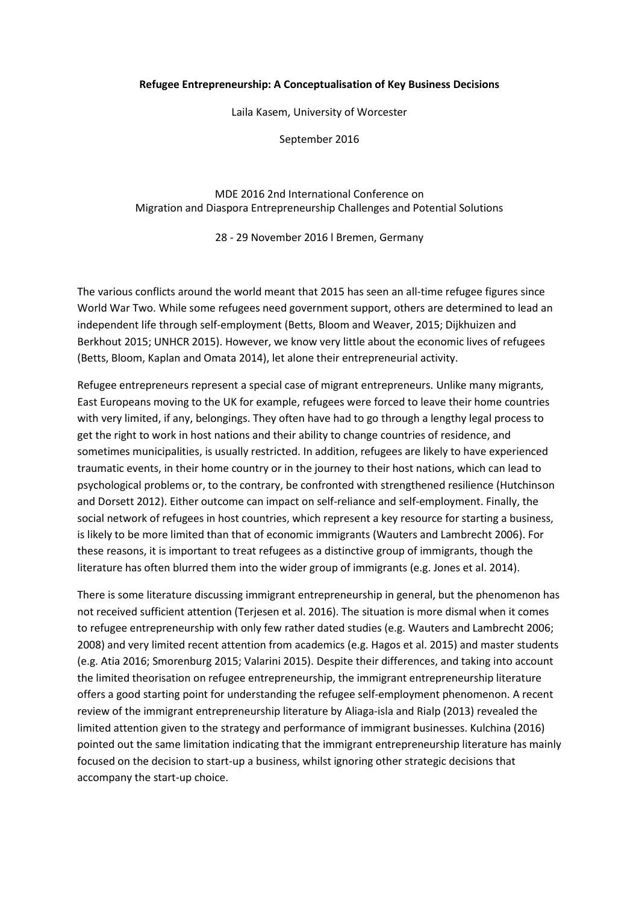## **Refugee Entrepreneurship: A Conceptualisation of Key Business Decisions**

Laila Kasem, University of Worcester

September 2016

MDE 2016 2nd International Conference on Migration and Diaspora Entrepreneurship Challenges and Potential Solutions

28 - 29 November 2016 l Bremen, Germany

The various conflicts around the world meant that 2015 has seen an all-time refugee figures since World War Two. While some refugees need government support, others are determined to lead an independent life through self-employment (Betts, Bloom and Weaver, 2015; Dijkhuizen and Berkhout 2015; UNHCR 2015). However, we know very little about the economic lives of refugees (Betts, Bloom, Kaplan and Omata 2014), let alone their entrepreneurial activity.

Refugee entrepreneurs represent a special case of migrant entrepreneurs. Unlike many migrants, East Europeans moving to the UK for example, refugees were forced to leave their home countries with very limited, if any, belongings. They often have had to go through a lengthy legal process to get the right to work in host nations and their ability to change countries of residence, and sometimes municipalities, is usually restricted. In addition, refugees are likely to have experienced traumatic events, in their home country or in the journey to their host nations, which can lead to psychological problems or, to the contrary, be confronted with strengthened resilience (Hutchinson and Dorsett 2012). Either outcome can impact on self-reliance and self-employment. Finally, the social network of refugees in host countries, which represent a key resource for starting a business, is likely to be more limited than that of economic immigrants (Wauters and Lambrecht 2006). For these reasons, it is important to treat refugees as a distinctive group of immigrants, though the literature has often blurred them into the wider group of immigrants (e.g. Jones et al. 2014).

There is some literature discussing immigrant entrepreneurship in general, but the phenomenon has not received sufficient attention (Terjesen et al. 2016). The situation is more dismal when it comes to refugee entrepreneurship with only few rather dated studies (e.g. Wauters and Lambrecht 2006; 2008) and very limited recent attention from academics (e.g. Hagos et al. 2015) and master students (e.g. Atia 2016; Smorenburg 2015; Valarini 2015). Despite their differences, and taking into account the limited theorisation on refugee entrepreneurship, the immigrant entrepreneurship literature offers a good starting point for understanding the refugee self-employment phenomenon. A recent review of the immigrant entrepreneurship literature by Aliaga-isla and Rialp (2013) revealed the limited attention given to the strategy and performance of immigrant businesses. Kulchina (2016) pointed out the same limitation indicating that the immigrant entrepreneurship literature has mainly focused on the decision to start-up a business, whilst ignoring other strategic decisions that accompany the start-up choice.